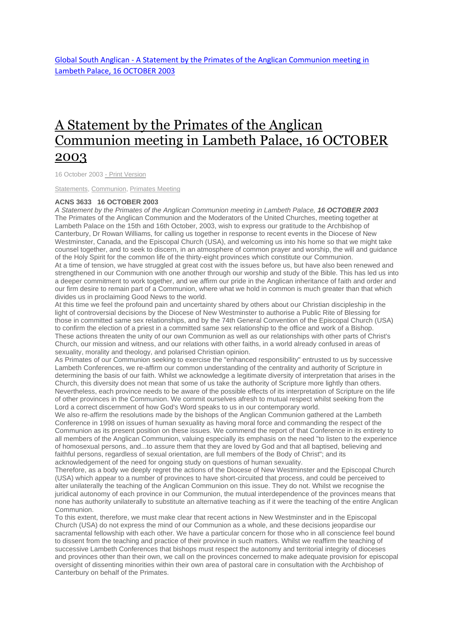Global South Anglican - [A Statement by the Primates of the Anglican Communion meeting in](http://www.globalsouthanglican.org/blog/comments/a_statement_by_the_primates_of_the_anglican_communion_meeting_in_lambeth_pa)  [Lambeth Palace, 16 OCTOBER 2003](http://www.globalsouthanglican.org/blog/comments/a_statement_by_the_primates_of_the_anglican_communion_meeting_in_lambeth_pa)

## A [Statement](http://www.globalsouthanglican.org/index.php/blog/comments/a_statement_by_the_primates_of_the_anglican_communion_meeting_in_lambeth_pa) by the Primates of the Anglican [Communion](http://www.globalsouthanglican.org/index.php/blog/comments/a_statement_by_the_primates_of_the_anglican_communion_meeting_in_lambeth_pa) meeting in Lambeth Palace, 16 OCTOBER [2003](http://www.globalsouthanglican.org/index.php/blog/comments/a_statement_by_the_primates_of_the_anglican_communion_meeting_in_lambeth_pa)

16 October 2003 - Print [Version](http://globalsouthanglican.org/index.php/blog/printing/a_statement_by_the_primates_of_the_anglican_communion_meeting_in_lambeth_pa)

[Statements,](http://globalsouthanglican.org/index.php/archives/category/statements) [Communion,](http://globalsouthanglican.org/index.php/archives/category/communion) [Primates](http://globalsouthanglican.org/index.php/archives/category/primates_meeting) Meeting

## **ACNS 3633 16 OCTOBER 2003**

*A Statement by the Primates of the Anglican Communion meeting in Lambeth Palace, 16 OCTOBER 2003* The Primates of the Anglican Communion and the Moderators of the United Churches, meeting together at Lambeth Palace on the 15th and 16th October, 2003, wish to express our gratitude to the Archbishop of Canterbury, Dr Rowan Williams, for calling us together in response to recent events in the Diocese of New Westminster, Canada, and the Episcopal Church (USA), and welcoming us into his home so that we might take counsel together, and to seek to discern, in an atmosphere of common prayer and worship, the will and guidance of the Holy Spirit for the common life of the thirty-eight provinces which constitute our Communion.

At a time of tension, we have struggled at great cost with the issues before us, but have also been renewed and strengthened in our Communion with one another through our worship and study of the Bible. This has led us into a deeper commitment to work together, and we affirm our pride in the Anglican inheritance of faith and order and our firm desire to remain part of a Communion, where what we hold in common is much greater than that which divides us in proclaiming Good News to the world.

At this time we feel the profound pain and uncertainty shared by others about our Christian discipleship in the light of controversial decisions by the Diocese of New Westminster to authorise a Public Rite of Blessing for those in committed same sex relationships, and by the 74th General Convention of the Episcopal Church (USA) to confirm the election of a priest in a committed same sex relationship to the office and work of a Bishop. These actions threaten the unity of our own Communion as well as our relationships with other parts of Christ's Church, our mission and witness, and our relations with other faiths, in a world already confused in areas of sexuality, morality and theology, and polarised Christian opinion.

As Primates of our Communion seeking to exercise the "enhanced responsibility" entrusted to us by successive Lambeth Conferences, we re-affirm our common understanding of the centrality and authority of Scripture in determining the basis of our faith. Whilst we acknowledge a legitimate diversity of interpretation that arises in the Church, this diversity does not mean that some of us take the authority of Scripture more lightly than others. Nevertheless, each province needs to be aware of the possible effects of its interpretation of Scripture on the life of other provinces in the Communion. We commit ourselves afresh to mutual respect whilst seeking from the Lord a correct discernment of how God's Word speaks to us in our contemporary world.

We also re-affirm the resolutions made by the bishops of the Anglican Communion gathered at the Lambeth Conference in 1998 on issues of human sexuality as having moral force and commanding the respect of the Communion as its present position on these issues. We commend the report of that Conference in its entirety to all members of the Anglican Communion, valuing especially its emphasis on the need "to listen to the experience of homosexual persons, and...to assure them that they are loved by God and that all baptised, believing and faithful persons, regardless of sexual orientation, are full members of the Body of Christ"; and its acknowledgement of the need for ongoing study on questions of human sexuality.

Therefore, as a body we deeply regret the actions of the Diocese of New Westminster and the Episcopal Church (USA) which appear to a number of provinces to have short-circuited that process, and could be perceived to alter unilaterally the teaching of the Anglican Communion on this issue. They do not. Whilst we recognise the juridical autonomy of each province in our Communion, the mutual interdependence of the provinces means that none has authority unilaterally to substitute an alternative teaching as if it were the teaching of the entire Anglican Communion.

To this extent, therefore, we must make clear that recent actions in New Westminster and in the Episcopal Church (USA) do not express the mind of our Communion as a whole, and these decisions jeopardise our sacramental fellowship with each other. We have a particular concern for those who in all conscience feel bound to dissent from the teaching and practice of their province in such matters. Whilst we reaffirm the teaching of successive Lambeth Conferences that bishops must respect the autonomy and territorial integrity of dioceses and provinces other than their own, we call on the provinces concerned to make adequate provision for episcopal oversight of dissenting minorities within their own area of pastoral care in consultation with the Archbishop of Canterbury on behalf of the Primates.